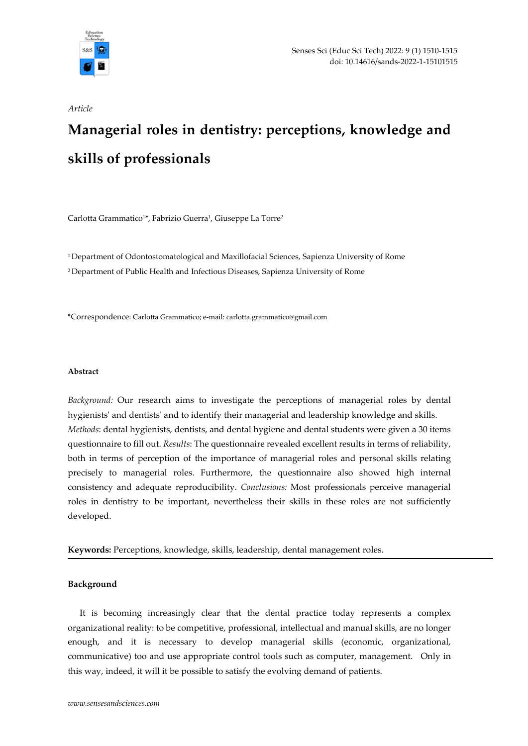

Article

# Managerial roles in dentistry: perceptions, knowledge and skills of professionals

Carlotta Grammatico<sup>1\*</sup>, Fabrizio Guerra<sup>1</sup>, Giuseppe La Torre<sup>2</sup>

<sup>1</sup>Department of Odontostomatological and Maxillofacial Sciences, Sapienza University of Rome <sup>2</sup>Department of Public Health and Infectious Diseases, Sapienza University of Rome

\*Correspondence: Carlotta Grammatico; e-mail: carlotta.grammatico@gmail.com

## Abstract

Background: Our research aims to investigate the perceptions of managerial roles by dental hygienists' and dentists' and to identify their managerial and leadership knowledge and skills. Methods: dental hygienists, dentists, and dental hygiene and dental students were given a 30 items questionnaire to fill out. Results: The questionnaire revealed excellent results in terms of reliability, both in terms of perception of the importance of managerial roles and personal skills relating precisely to managerial roles. Furthermore, the questionnaire also showed high internal consistency and adequate reproducibility. Conclusions: Most professionals perceive managerial roles in dentistry to be important, nevertheless their skills in these roles are not sufficiently developed.

Keywords: Perceptions, knowledge, skills, leadership, dental management roles.

# Background

 It is becoming increasingly clear that the dental practice today represents a complex organizational reality: to be competitive, professional, intellectual and manual skills, are no longer enough, and it is necessary to develop managerial skills (economic, organizational, communicative) too and use appropriate control tools such as computer, management. Only in this way, indeed, it will it be possible to satisfy the evolving demand of patients.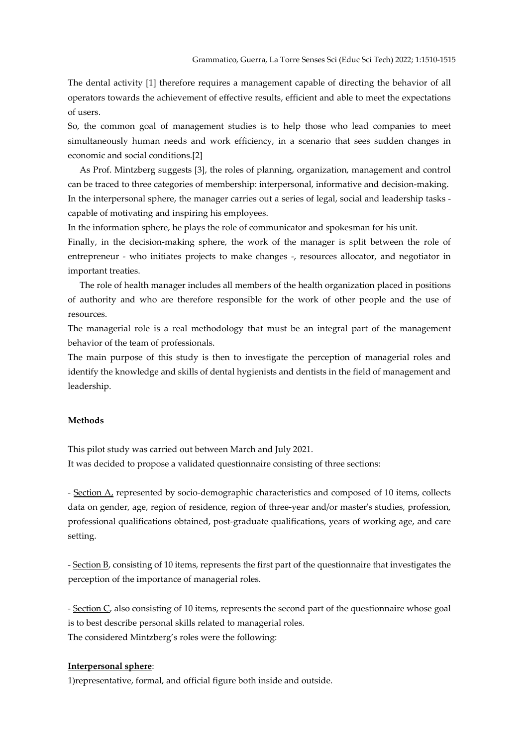The dental activity [1] therefore requires a management capable of directing the behavior of all operators towards the achievement of effective results, efficient and able to meet the expectations of users.

So, the common goal of management studies is to help those who lead companies to meet simultaneously human needs and work efficiency, in a scenario that sees sudden changes in economic and social conditions.[2]

 As Prof. Mintzberg suggests [3], the roles of planning, organization, management and control can be traced to three categories of membership: interpersonal, informative and decision-making. In the interpersonal sphere, the manager carries out a series of legal, social and leadership tasks capable of motivating and inspiring his employees.

In the information sphere, he plays the role of communicator and spokesman for his unit.

Finally, in the decision-making sphere, the work of the manager is split between the role of entrepreneur - who initiates projects to make changes -, resources allocator, and negotiator in important treaties.

 The role of health manager includes all members of the health organization placed in positions of authority and who are therefore responsible for the work of other people and the use of resources.

The managerial role is a real methodology that must be an integral part of the management behavior of the team of professionals.

The main purpose of this study is then to investigate the perception of managerial roles and identify the knowledge and skills of dental hygienists and dentists in the field of management and leadership.

# Methods

This pilot study was carried out between March and July 2021. It was decided to propose a validated questionnaire consisting of three sections:

- Section A, represented by socio-demographic characteristics and composed of 10 items, collects data on gender, age, region of residence, region of three-year and/or master's studies, profession, professional qualifications obtained, post-graduate qualifications, years of working age, and care setting.

- Section B, consisting of 10 items, represents the first part of the questionnaire that investigates the perception of the importance of managerial roles.

- Section C, also consisting of 10 items, represents the second part of the questionnaire whose goal is to best describe personal skills related to managerial roles. The considered Mintzberg's roles were the following:

### Interpersonal sphere:

1)representative, formal, and official figure both inside and outside.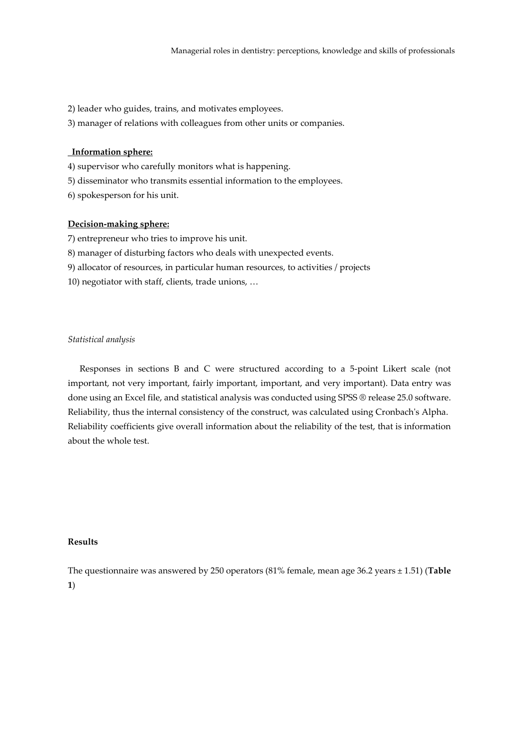- 2) leader who guides, trains, and motivates employees.
- 3) manager of relations with colleagues from other units or companies.

# Information sphere:

- 4) supervisor who carefully monitors what is happening.
- 5) disseminator who transmits essential information to the employees.
- 6) spokesperson for his unit.

# Decision-making sphere:

- 7) entrepreneur who tries to improve his unit.
- 8) manager of disturbing factors who deals with unexpected events.
- 9) allocator of resources, in particular human resources, to activities / projects
- 10) negotiator with staff, clients, trade unions, …

#### Statistical analysis

 Responses in sections B and C were structured according to a 5-point Likert scale (not important, not very important, fairly important, important, and very important). Data entry was done using an Excel file, and statistical analysis was conducted using SPSS ® release 25.0 software. Reliability, thus the internal consistency of the construct, was calculated using Cronbach's Alpha. Reliability coefficients give overall information about the reliability of the test, that is information about the whole test.

# Results

The questionnaire was answered by 250 operators (81% female, mean age 36.2 years  $\pm$  1.51) (Table 1)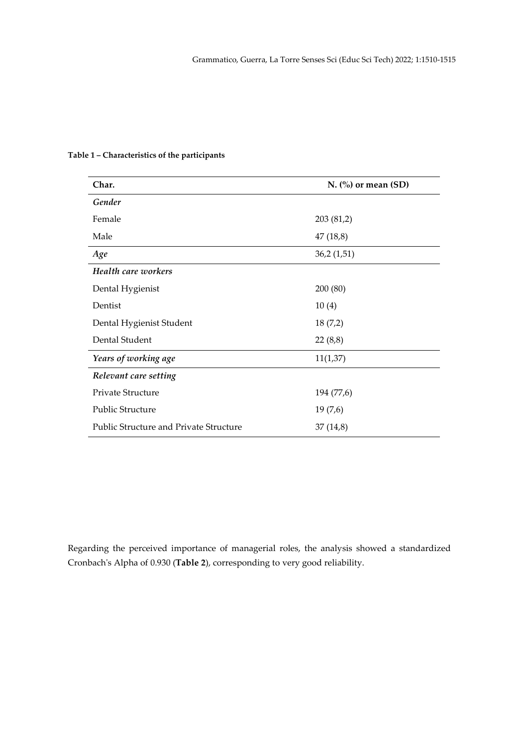| Char.                                         | N. $\left(\% \right)$ or mean (SD) |  |
|-----------------------------------------------|------------------------------------|--|
| Gender                                        |                                    |  |
| Female                                        | 203 (81,2)                         |  |
| Male                                          | 47(18,8)                           |  |
| Age                                           | 36,2(1,51)                         |  |
| Health care workers                           |                                    |  |
| Dental Hygienist                              | 200 (80)                           |  |
| Dentist                                       | 10(4)                              |  |
| Dental Hygienist Student                      | 18(7,2)                            |  |
| Dental Student                                | 22(8,8)                            |  |
| Years of working age                          | 11(1,37)                           |  |
| Relevant care setting                         |                                    |  |
| Private Structure                             | 194 (77,6)                         |  |
| Public Structure                              | 19(7,6)                            |  |
| <b>Public Structure and Private Structure</b> | 37 (14,8)                          |  |

# Table 1 – Characteristics of the participants

Regarding the perceived importance of managerial roles, the analysis showed a standardized Cronbach's Alpha of 0.930 (Table 2), corresponding to very good reliability.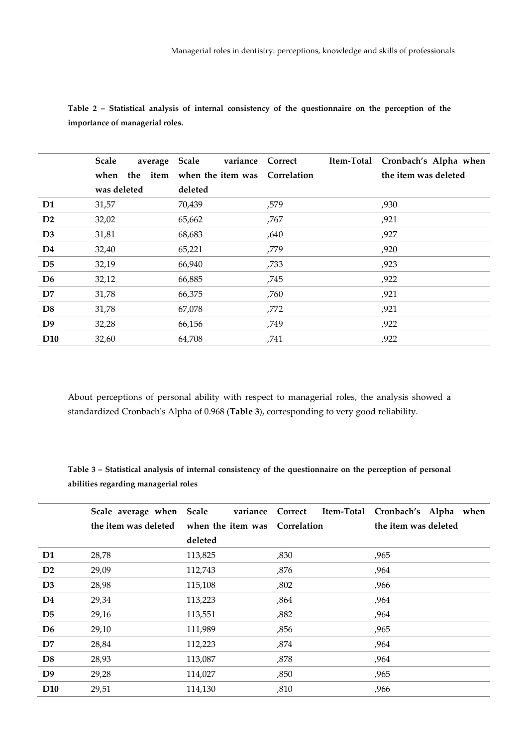|                 | Scale<br>average | variance<br>Scale             | Correct | Item-Total Cronbach's Alpha when |
|-----------------|------------------|-------------------------------|---------|----------------------------------|
|                 | when the item    | when the item was Correlation |         | the item was deleted             |
|                 | was deleted      | deleted                       |         |                                  |
| D <sub>1</sub>  | 31,57            | 70,439                        | ,579    | ,930                             |
| D2              | 32,02            | 65,662                        | ,767    | ,921                             |
| D <sub>3</sub>  | 31,81            | 68,683                        | ,640    | ,927                             |
| D <sub>4</sub>  | 32,40            | 65,221                        | ,779    | ,920                             |
| D <sub>5</sub>  | 32,19            | 66,940                        | ,733    | ,923                             |
| D <sub>6</sub>  | 32,12            | 66,885                        | ,745    | ,922                             |
| D7              | 31,78            | 66,375                        | ,760    | ,921                             |
| D <sub>8</sub>  | 31,78            | 67,078                        | ,772    | ,921                             |
| D <sub>9</sub>  | 32,28            | 66,156                        | ,749    | ,922                             |
| D <sub>10</sub> | 32,60            | 64,708                        | ,741    | ,922                             |

Table 2 – Statistical analysis of internal consistency of the questionnaire on the perception of the importance of managerial roles.

About perceptions of personal ability with respect to managerial roles, the analysis showed a standardized Cronbach's Alpha of 0.968 (Table 3), corresponding to very good reliability.

Table 3 – Statistical analysis of internal consistency of the questionnaire on the perception of personal abilities regarding managerial roles

|                 | Scale average when Scale | variance Correct              |      | Item-Total Cronbach's Alpha when |
|-----------------|--------------------------|-------------------------------|------|----------------------------------|
|                 | the item was deleted     | when the item was Correlation |      | the item was deleted             |
|                 |                          | deleted                       |      |                                  |
| D <sub>1</sub>  | 28,78                    | 113,825                       | ,830 | ,965                             |
| D2              | 29,09                    | 112,743                       | ,876 | ,964                             |
| D <sub>3</sub>  | 28,98                    | 115,108                       | ,802 | ,966                             |
| D <sub>4</sub>  | 29,34                    | 113,223                       | ,864 | ,964                             |
| D <sub>5</sub>  | 29,16                    | 113,551                       | ,882 | ,964                             |
| D <sub>6</sub>  | 29,10                    | 111,989                       | ,856 | ,965                             |
| D7              | 28,84                    | 112,223                       | ,874 | ,964                             |
| D <sub>8</sub>  | 28,93                    | 113,087                       | ,878 | ,964                             |
| D <sub>9</sub>  | 29,28                    | 114,027                       | ,850 | ,965                             |
| D <sub>10</sub> | 29,51                    | 114,130                       | ,810 | ,966                             |